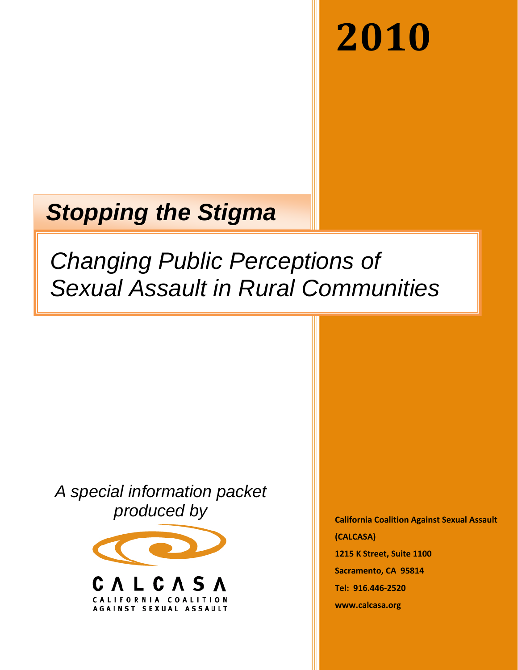# **2010**

## *Stopping the Stigma*

## *Changing Public Perceptions of Sexual Assault in Rural Communities*

*A special information packet produced by*



**California Coalition Against Sexual Assault (CALCASA) 1215 K Street, Suite 1100 Sacramento, CA 95814 Tel: 916.446-2520 www.calcasa.org**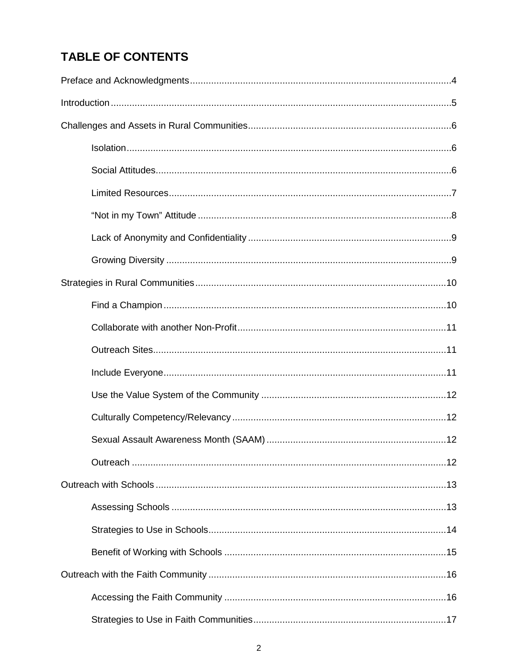## **TABLE OF CONTENTS**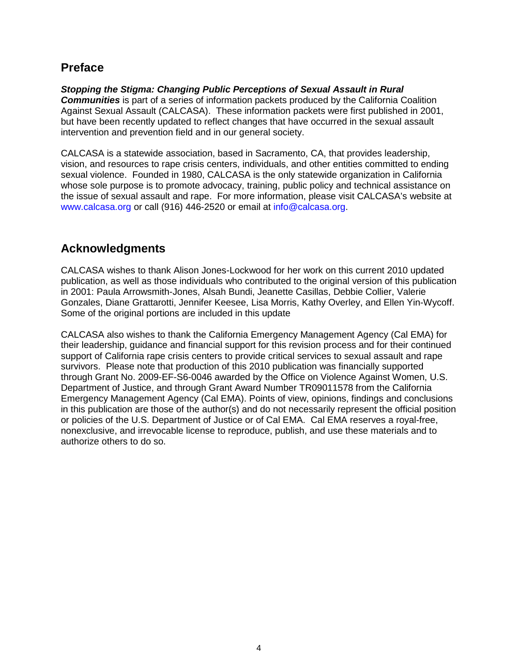## **Preface**

*Stopping the Stigma: Changing Public Perceptions of Sexual Assault in Rural Communities* is part of a series of information packets produced by the California Coalition Against Sexual Assault (CALCASA). These information packets were first published in 2001, but have been recently updated to reflect changes that have occurred in the sexual assault intervention and prevention field and in our general society.

CALCASA is a statewide association, based in Sacramento, CA, that provides leadership, vision, and resources to rape crisis centers, individuals, and other entities committed to ending sexual violence. Founded in 1980, CALCASA is the only statewide organization in California whose sole purpose is to promote advocacy, training, public policy and technical assistance on the issue of sexual assault and rape. For more information, please visit CALCASA's website at [www.calcasa.org](http://www.calcasa.org/) or call (916) 446-2520 or email at [info@calcasa.org.](mailto:info@calcasa.org)

## **Acknowledgments**

CALCASA wishes to thank Alison Jones-Lockwood for her work on this current 2010 updated publication, as well as those individuals who contributed to the original version of this publication in 2001: Paula Arrowsmith-Jones, Alsah Bundi, Jeanette Casillas, Debbie Collier, Valerie Gonzales, Diane Grattarotti, Jennifer Keesee, Lisa Morris, Kathy Overley, and Ellen Yin-Wycoff. Some of the original portions are included in this update

CALCASA also wishes to thank the California Emergency Management Agency (Cal EMA) for their leadership, guidance and financial support for this revision process and for their continued support of California rape crisis centers to provide critical services to sexual assault and rape survivors. Please note that production of this 2010 publication was financially supported through Grant No. 2009-EF-S6-0046 awarded by the Office on Violence Against Women, U.S. Department of Justice, and through Grant Award Number TR09011578 from the California Emergency Management Agency (Cal EMA). Points of view, opinions, findings and conclusions in this publication are those of the author(s) and do not necessarily represent the official position or policies of the U.S. Department of Justice or of Cal EMA. Cal EMA reserves a royal-free, nonexclusive, and irrevocable license to reproduce, publish, and use these materials and to authorize others to do so.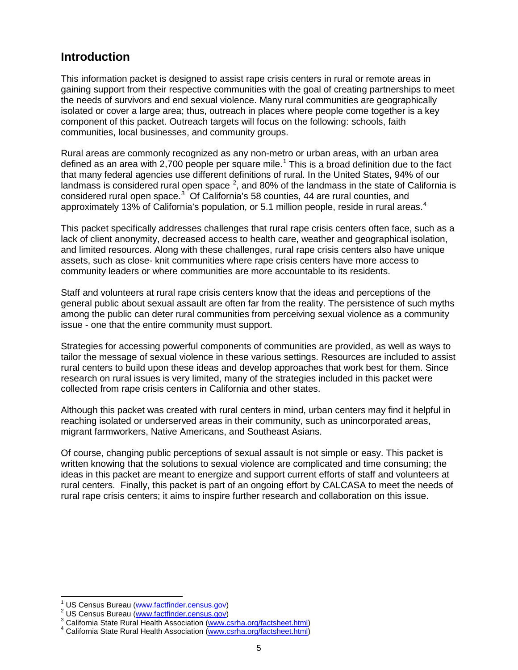### **Introduction**

This information packet is designed to assist rape crisis centers in rural or remote areas in gaining support from their respective communities with the goal of creating partnerships to meet the needs of survivors and end sexual violence. Many rural communities are geographically isolated or cover a large area; thus, outreach in places where people come together is a key component of this packet. Outreach targets will focus on the following: schools, faith communities, local businesses, and community groups.

Rural areas are commonly recognized as any non-metro or urban areas, with an urban area defined as an area with 2,700 people per square mile.<sup>[1](#page-4-0)</sup> This is a broad definition due to the fact that many federal agencies use different definitions of rural. In the United States, 94% of our landmass is considered rural open space  $^2$  $^2$ , and 80% of the landmass in the state of California is considered rural open space.<sup>[3](#page-4-2)</sup> Of California's 58 counties, 44 are rural counties, and approximately 13% of California's population, or 5.1 million people, reside in rural areas.<sup>[4](#page-4-3)</sup>

This packet specifically addresses challenges that rural rape crisis centers often face, such as a lack of client anonymity, decreased access to health care, weather and geographical isolation, and limited resources. Along with these challenges, rural rape crisis centers also have unique assets, such as close- knit communities where rape crisis centers have more access to community leaders or where communities are more accountable to its residents.

Staff and volunteers at rural rape crisis centers know that the ideas and perceptions of the general public about sexual assault are often far from the reality. The persistence of such myths among the public can deter rural communities from perceiving sexual violence as a community issue - one that the entire community must support.

Strategies for accessing powerful components of communities are provided, as well as ways to tailor the message of sexual violence in these various settings. Resources are included to assist rural centers to build upon these ideas and develop approaches that work best for them. Since research on rural issues is very limited, many of the strategies included in this packet were collected from rape crisis centers in California and other states.

Although this packet was created with rural centers in mind, urban centers may find it helpful in reaching isolated or underserved areas in their community, such as unincorporated areas, migrant farmworkers, Native Americans, and Southeast Asians.

Of course, changing public perceptions of sexual assault is not simple or easy. This packet is written knowing that the solutions to sexual violence are complicated and time consuming; the ideas in this packet are meant to energize and support current efforts of staff and volunteers at rural centers. Finally, this packet is part of an ongoing effort by CALCASA to meet the needs of rural rape crisis centers; it aims to inspire further research and collaboration on this issue.

<span id="page-4-1"></span><span id="page-4-0"></span><sup>&</sup>lt;sup>1</sup> US Census Bureau [\(www.factfinder.census.gov\)](http://www.factfinder.census.gov/)<br>
<sup>2</sup> US Census Bureau (www.factfinder.census.gov)<br>
<sup>3</sup> California State Rural Health Association [\(www.csrha.org/factsheet.html\)](http://www.csrha.org/factsheet.html)<br>
<sup>4</sup> California State Rural Health Associatio

<span id="page-4-3"></span><span id="page-4-2"></span>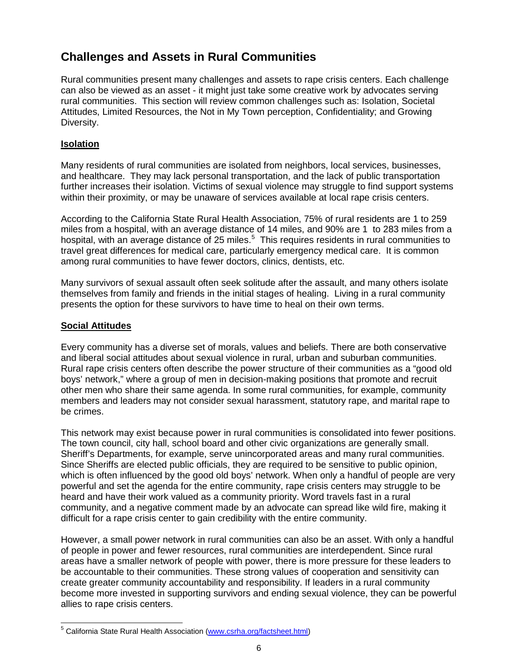## **Challenges and Assets in Rural Communities**

Rural communities present many challenges and assets to rape crisis centers. Each challenge can also be viewed as an asset - it might just take some creative work by advocates serving rural communities. This section will review common challenges such as: Isolation, Societal Attitudes, Limited Resources, the Not in My Town perception, Confidentiality; and Growing Diversity.

#### **Isolation**

Many residents of rural communities are isolated from neighbors, local services, businesses, and healthcare. They may lack personal transportation, and the lack of public transportation further increases their isolation. Victims of sexual violence may struggle to find support systems within their proximity, or may be unaware of services available at local rape crisis centers.

According to the California State Rural Health Association, 75% of rural residents are 1 to 259 miles from a hospital, with an average distance of 14 miles, and 90% are 1 to 283 miles from a hospital, with an average distance of 2[5](#page-5-0) miles.<sup>5</sup> This requires residents in rural communities to travel great differences for medical care, particularly emergency medical care. It is common among rural communities to have fewer doctors, clinics, dentists, etc.

Many survivors of sexual assault often seek solitude after the assault, and many others isolate themselves from family and friends in the initial stages of healing. Living in a rural community presents the option for these survivors to have time to heal on their own terms.

#### **Social Attitudes**

Every community has a diverse set of morals, values and beliefs. There are both conservative and liberal social attitudes about sexual violence in rural, urban and suburban communities. Rural rape crisis centers often describe the power structure of their communities as a "good old boys' network," where a group of men in decision-making positions that promote and recruit other men who share their same agenda. In some rural communities, for example, community members and leaders may not consider sexual harassment, statutory rape, and marital rape to be crimes.

This network may exist because power in rural communities is consolidated into fewer positions. The town council, city hall, school board and other civic organizations are generally small. Sheriff's Departments, for example, serve unincorporated areas and many rural communities. Since Sheriffs are elected public officials, they are required to be sensitive to public opinion, which is often influenced by the good old boys' network. When only a handful of people are very powerful and set the agenda for the entire community, rape crisis centers may struggle to be heard and have their work valued as a community priority. Word travels fast in a rural community, and a negative comment made by an advocate can spread like wild fire, making it difficult for a rape crisis center to gain credibility with the entire community.

However, a small power network in rural communities can also be an asset. With only a handful of people in power and fewer resources, rural communities are interdependent. Since rural areas have a smaller network of people with power, there is more pressure for these leaders to be accountable to their communities. These strong values of cooperation and sensitivity can create greater community accountability and responsibility. If leaders in a rural community become more invested in supporting survivors and ending sexual violence, they can be powerful allies to rape crisis centers.

<span id="page-5-0"></span><sup>&</sup>lt;sup>5</sup> California State Rural Health Association [\(www.csrha.org/factsheet.html\)](http://www.csrha.org/factsheet.html)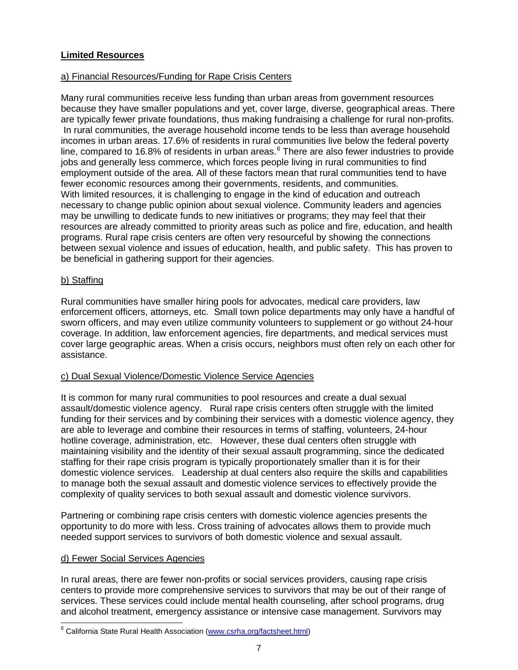#### **Limited Resources**

#### a) Financial Resources/Funding for Rape Crisis Centers

Many rural communities receive less funding than urban areas from government resources because they have smaller populations and yet, cover large, diverse, geographical areas. There are typically fewer private foundations, thus making fundraising a challenge for rural non-profits. In rural communities, the average household income tends to be less than average household incomes in urban areas. 17.6% of residents in rural communities live below the federal poverty line, compared to 1[6](#page-6-0).8% of residents in urban areas.<sup>6</sup> There are also fewer industries to provide With limited resources, it is challenging to engage in the kind of education and outreach necessary to change public opinion about sexual violence. Community leaders and agencies may be unwilling to dedicate funds to new initiatives or programs; they may feel that their resources are already committed to priority areas such as police and fire, education, and health programs. Rural rape crisis centers are often very resourceful by showing the connections between sexual violence and issues of education, health, and public safety. This has proven to be beneficial in gathering support for their agencies. jobs and generally less commerce, which forces people living in rural communities to find employment outside of the area. All of these factors mean that rural communities tend to have fewer economic resources among their governments, residents, and communities.

#### b) Staffing

Rural communities have smaller hiring pools for advocates, medical care providers, law enforcement officers, attorneys, etc. Small town police departments may only have a handful of sworn officers, and may even utilize community volunteers to supplement or go without 24-hour coverage. In addition, law enforcement agencies, fire departments, and medical services must cover large geographic areas. When a crisis occurs, neighbors must often rely on each other for assistance.

#### c) Dual Sexual Violence/Domestic Violence Service Agencies

It is common for many rural communities to pool resources and create a dual sexual assault/domestic violence agency. Rural rape crisis centers often struggle with the limited funding for their services and by combining their services with a domestic violence agency, they are able to leverage and combine their resources in terms of staffing, volunteers, 24-hour hotline coverage, administration, etc. However, these dual centers often struggle with maintaining visibility and the identity of their sexual assault programming, since the dedicated staffing for their rape crisis program is typically proportionately smaller than it is for their domestic violence services. Leadership at dual centers also require the skills and capabilities to manage both the sexual assault and domestic violence services to effectively provide the complexity of quality services to both sexual assault and domestic violence survivors.

Partnering or combining rape crisis centers with domestic violence agencies presents the opportunity to do more with less. Cross training of advocates allows them to provide much needed support services to survivors of both domestic violence and sexual assault.

#### d) Fewer Social Services Agencies

In rural areas, there are fewer non-profits or social services providers, causing rape crisis centers to provide more comprehensive services to survivors that may be out of their range of services. These services could include mental health counseling, after school programs, drug and alcohol treatment, emergency assistance or intensive case management. Survivors may

<span id="page-6-0"></span><sup>&</sup>lt;sup>6</sup> California State Rural Health Association [\(www.csrha.org/factsheet.html\)](http://www.csrha.org/factsheet.html)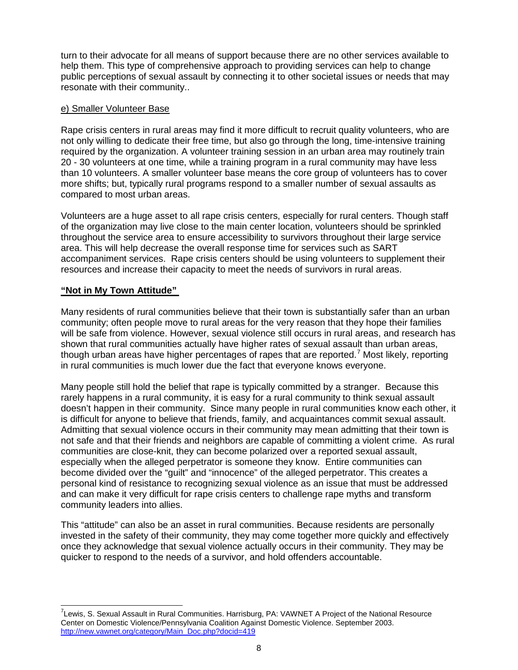turn to their advocate for all means of support because there are no other services available to help them. This type of comprehensive approach to providing services can help to change public perceptions of sexual assault by connecting it to other societal issues or needs that may resonate with their community..

#### e) Smaller Volunteer Base

Rape crisis centers in rural areas may find it more difficult to recruit quality volunteers, who are not only willing to dedicate their free time, but also go through the long, time-intensive training required by the organization. A volunteer training session in an urban area may routinely train 20 - 30 volunteers at one time, while a training program in a rural community may have less than 10 volunteers. A smaller volunteer base means the core group of volunteers has to cover more shifts; but, typically rural programs respond to a smaller number of sexual assaults as compared to most urban areas.

Volunteers are a huge asset to all rape crisis centers, especially for rural centers. Though staff of the organization may live close to the main center location, volunteers should be sprinkled throughout the service area to ensure accessibility to survivors throughout their large service area. This will help decrease the overall response time for services such as SART accompaniment services. Rape crisis centers should be using volunteers to supplement their resources and increase their capacity to meet the needs of survivors in rural areas.

#### **"Not in My Town Attitude"**

Many residents of rural communities believe that their town is substantially safer than an urban community; often people move to rural areas for the very reason that they hope their families will be safe from violence. However, sexual violence still occurs in rural areas, and research has shown that rural communities actually have higher rates of sexual assault than urban areas, though urban areas have higher percentages of rapes that are reported.<sup>[7](#page-7-0)</sup> Most likely, reporting in rural communities is much lower due the fact that everyone knows everyone.

Many people still hold the belief that rape is typically committed by a stranger. Because this rarely happens in a rural community, it is easy for a rural community to think sexual assault doesn't happen in their community. Since many people in rural communities know each other, it is difficult for anyone to believe that friends, family, and acquaintances commit sexual assault. Admitting that sexual violence occurs in their community may mean admitting that their town is not safe and that their friends and neighbors are capable of committing a violent crime. As rural communities are close-knit, they can become polarized over a reported sexual assault, especially when the alleged perpetrator is someone they know. Entire communities can become divided over the "guilt" and "innocence" of the alleged perpetrator. This creates a personal kind of resistance to recognizing sexual violence as an issue that must be addressed and can make it very difficult for rape crisis centers to challenge rape myths and transform community leaders into allies.

This "attitude" can also be an asset in rural communities. Because residents are personally invested in the safety of their community, they may come together more quickly and effectively once they acknowledge that sexual violence actually occurs in their community. They may be quicker to respond to the needs of a survivor, and hold offenders accountable.

<span id="page-7-0"></span>7 Lewis, S. Sexual Assault in Rural Communities. Harrisburg, PA: VAWNET A Project of the National Resource Center on Domestic Violence/Pennsylvania Coalition Against Domestic Violence. September 2003. [http://new.vawnet.org/category/Main\\_Doc.php?docid=419](http://new.vawnet.org/category/Main_Doc.php?docid=419)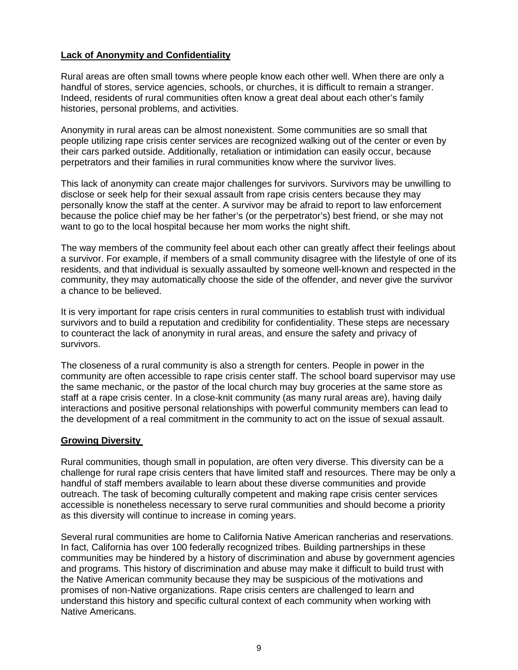#### **Lack of Anonymity and Confidentiality**

Rural areas are often small towns where people know each other well. When there are only a handful of stores, service agencies, schools, or churches, it is difficult to remain a stranger. Indeed, residents of rural communities often know a great deal about each other's family histories, personal problems, and activities.

Anonymity in rural areas can be almost nonexistent. Some communities are so small that people utilizing rape crisis center services are recognized walking out of the center or even by their cars parked outside. Additionally, retaliation or intimidation can easily occur, because perpetrators and their families in rural communities know where the survivor lives.

This lack of anonymity can create major challenges for survivors. Survivors may be unwilling to disclose or seek help for their sexual assault from rape crisis centers because they may personally know the staff at the center. A survivor may be afraid to report to law enforcement because the police chief may be her father's (or the perpetrator's) best friend, or she may not want to go to the local hospital because her mom works the night shift.

The way members of the community feel about each other can greatly affect their feelings about a survivor. For example, if members of a small community disagree with the lifestyle of one of its residents, and that individual is sexually assaulted by someone well-known and respected in the community, they may automatically choose the side of the offender, and never give the survivor a chance to be believed.

It is very important for rape crisis centers in rural communities to establish trust with individual survivors and to build a reputation and credibility for confidentiality. These steps are necessary to counteract the lack of anonymity in rural areas, and ensure the safety and privacy of survivors.

The closeness of a rural community is also a strength for centers. People in power in the community are often accessible to rape crisis center staff. The school board supervisor may use the same mechanic, or the pastor of the local church may buy groceries at the same store as staff at a rape crisis center. In a close-knit community (as many rural areas are), having daily interactions and positive personal relationships with powerful community members can lead to the development of a real commitment in the community to act on the issue of sexual assault.

#### **Growing Diversity**

Rural communities, though small in population, are often very diverse. This diversity can be a challenge for rural rape crisis centers that have limited staff and resources. There may be only a handful of staff members available to learn about these diverse communities and provide outreach. The task of becoming culturally competent and making rape crisis center services accessible is nonetheless necessary to serve rural communities and should become a priority as this diversity will continue to increase in coming years.

Several rural communities are home to California Native American rancherias and reservations. In fact, California has over 100 federally recognized tribes. Building partnerships in these communities may be hindered by a history of discrimination and abuse by government agencies and programs. This history of discrimination and abuse may make it difficult to build trust with the Native American community because they may be suspicious of the motivations and promises of non-Native organizations. Rape crisis centers are challenged to learn and understand this history and specific cultural context of each community when working with Native Americans.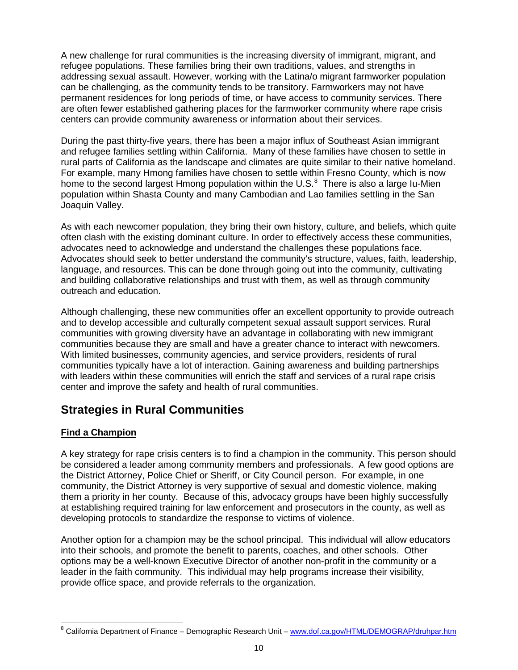A new challenge for rural communities is the increasing diversity of immigrant, migrant, and refugee populations. These families bring their own traditions, values, and strengths in addressing sexual assault. However, working with the Latina/o migrant farmworker population can be challenging, as the community tends to be transitory. Farmworkers may not have permanent residences for long periods of time, or have access to community services. There are often fewer established gathering places for the farmworker community where rape crisis centers can provide community awareness or information about their services.

During the past thirty-five years, there has been a major influx of Southeast Asian immigrant and refugee families settling within California. Many of these families have chosen to settle in rural parts of California as the landscape and climates are quite similar to their native homeland. For example, many Hmong families have chosen to settle within Fresno County, which is now home to the second largest Hmong population within the U.S.<sup>[8](#page-9-0)</sup> There is also a large Iu-Mien population within Shasta County and many Cambodian and Lao families settling in the San Joaquin Valley.

As with each newcomer population, they bring their own history, culture, and beliefs, which quite often clash with the existing dominant culture. In order to effectively access these communities, advocates need to acknowledge and understand the challenges these populations face. Advocates should seek to better understand the community's structure, values, faith, leadership, language, and resources. This can be done through going out into the community, cultivating and building collaborative relationships and trust with them, as well as through community outreach and education.

Although challenging, these new communities offer an excellent opportunity to provide outreach and to develop accessible and culturally competent sexual assault support services. Rural communities with growing diversity have an advantage in collaborating with new immigrant communities because they are small and have a greater chance to interact with newcomers. With limited businesses, community agencies, and service providers, residents of rural communities typically have a lot of interaction. Gaining awareness and building partnerships with leaders within these communities will enrich the staff and services of a rural rape crisis center and improve the safety and health of rural communities.

## **Strategies in Rural Communities**

#### **Find a Champion**

A key strategy for rape crisis centers is to find a champion in the community. This person should be considered a leader among community members and professionals. A few good options are the District Attorney, Police Chief or Sheriff, or City Council person. For example, in one community, the District Attorney is very supportive of sexual and domestic violence, making them a priority in her county. Because of this, advocacy groups have been highly successfully at establishing required training for law enforcement and prosecutors in the county, as well as developing protocols to standardize the response to victims of violence.

Another option for a champion may be the school principal. This individual will allow educators into their schools, and promote the benefit to parents, coaches, and other schools. Other options may be a well-known Executive Director of another non-profit in the community or a leader in the faith community. This individual may help programs increase their visibility, provide office space, and provide referrals to the organization.

<span id="page-9-0"></span><sup>&</sup>lt;sup>8</sup> California Department of Finance – Demographic Research Unit – [www.dof.ca.gov/HTML/DEMOGRAP/druhpar.htm](http://www.dof.ca.gov/HTML/DEMOGRAP/druhpar.htm)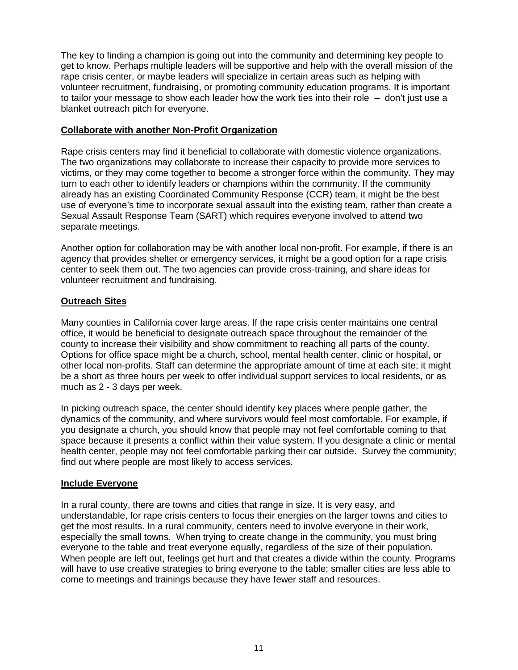The key to finding a champion is going out into the community and determining key people to get to know. Perhaps multiple leaders will be supportive and help with the overall mission of the rape crisis center, or maybe leaders will specialize in certain areas such as helping with volunteer recruitment, fundraising, or promoting community education programs. It is important to tailor your message to show each leader how the work ties into their role – don't just use a blanket outreach pitch for everyone.

#### **Collaborate with another Non-Profit Organization**

Rape crisis centers may find it beneficial to collaborate with domestic violence organizations. The two organizations may collaborate to increase their capacity to provide more services to victims, or they may come together to become a stronger force within the community. They may turn to each other to identify leaders or champions within the community. If the community already has an existing Coordinated Community Response (CCR) team, it might be the best use of everyone's time to incorporate sexual assault into the existing team, rather than create a Sexual Assault Response Team (SART) which requires everyone involved to attend two separate meetings.

Another option for collaboration may be with another local non-profit. For example, if there is an agency that provides shelter or emergency services, it might be a good option for a rape crisis center to seek them out. The two agencies can provide cross-training, and share ideas for volunteer recruitment and fundraising.

#### **Outreach Sites**

Many counties in California cover large areas. If the rape crisis center maintains one central office, it would be beneficial to designate outreach space throughout the remainder of the county to increase their visibility and show commitment to reaching all parts of the county. Options for office space might be a church, school, mental health center, clinic or hospital, or other local non-profits. Staff can determine the appropriate amount of time at each site; it might be a short as three hours per week to offer individual support services to local residents, or as much as 2 - 3 days per week.

In picking outreach space, the center should identify key places where people gather, the dynamics of the community, and where survivors would feel most comfortable. For example, if you designate a church, you should know that people may not feel comfortable coming to that space because it presents a conflict within their value system. If you designate a clinic or mental health center, people may not feel comfortable parking their car outside. Survey the community; find out where people are most likely to access services.

#### **Include Everyone**

In a rural county, there are towns and cities that range in size. It is very easy, and understandable, for rape crisis centers to focus their energies on the larger towns and cities to get the most results. In a rural community, centers need to involve everyone in their work, especially the small towns. When trying to create change in the community, you must bring everyone to the table and treat everyone equally, regardless of the size of their population. When people are left out, feelings get hurt and that creates a divide within the county. Programs will have to use creative strategies to bring everyone to the table; smaller cities are less able to come to meetings and trainings because they have fewer staff and resources.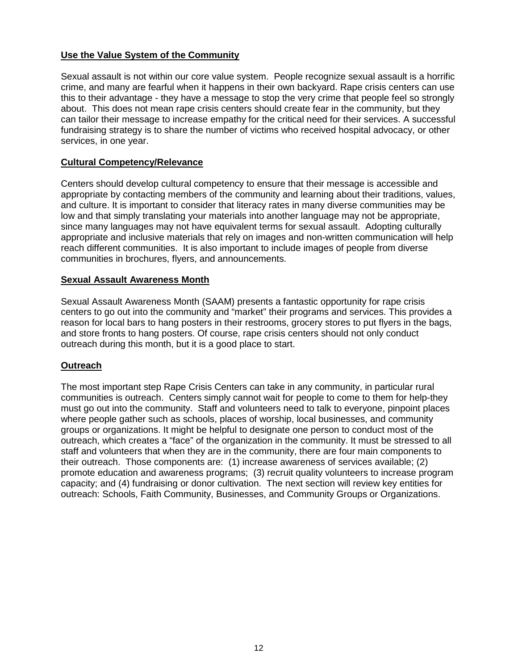#### **Use the Value System of the Community**

Sexual assault is not within our core value system. People recognize sexual assault is a horrific crime, and many are fearful when it happens in their own backyard. Rape crisis centers can use this to their advantage - they have a message to stop the very crime that people feel so strongly about. This does not mean rape crisis centers should create fear in the community, but they can tailor their message to increase empathy for the critical need for their services. A successful fundraising strategy is to share the number of victims who received hospital advocacy, or other services, in one year.

#### **Cultural Competency/Relevance**

Centers should develop cultural competency to ensure that their message is accessible and appropriate by contacting members of the community and learning about their traditions, values, and culture. It is important to consider that literacy rates in many diverse communities may be low and that simply translating your materials into another language may not be appropriate, since many languages may not have equivalent terms for sexual assault. Adopting culturally appropriate and inclusive materials that rely on images and non-written communication will help reach different communities. It is also important to include images of people from diverse communities in brochures, flyers, and announcements.

#### **Sexual Assault Awareness Month**

Sexual Assault Awareness Month (SAAM) presents a fantastic opportunity for rape crisis centers to go out into the community and "market" their programs and services. This provides a reason for local bars to hang posters in their restrooms, grocery stores to put flyers in the bags, and store fronts to hang posters. Of course, rape crisis centers should not only conduct outreach during this month, but it is a good place to start.

#### **Outreach**

The most important step Rape Crisis Centers can take in any community, in particular rural communities is outreach. Centers simply cannot wait for people to come to them for help-they must go out into the community. Staff and volunteers need to talk to everyone, pinpoint places where people gather such as schools, places of worship, local businesses, and community groups or organizations. It might be helpful to designate one person to conduct most of the outreach, which creates a "face" of the organization in the community. It must be stressed to all staff and volunteers that when they are in the community, there are four main components to their outreach. Those components are: (1) increase awareness of services available; (2) promote education and awareness programs; (3) recruit quality volunteers to increase program capacity; and (4) fundraising or donor cultivation. The next section will review key entities for outreach: Schools, Faith Community, Businesses, and Community Groups or Organizations.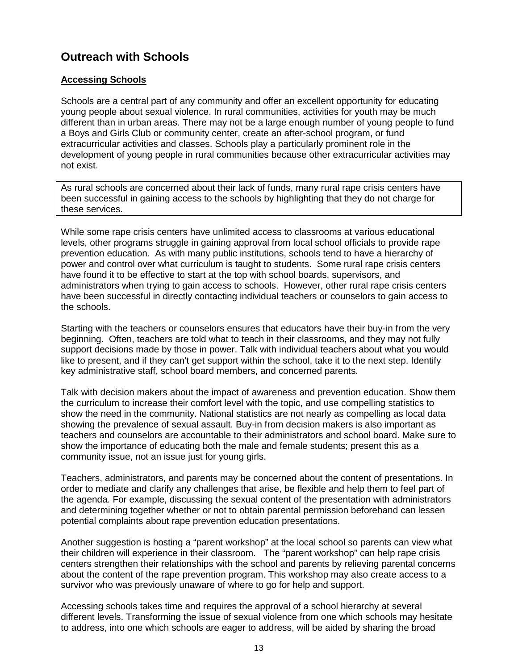## **Outreach with Schools**

#### **Accessing Schools**

Schools are a central part of any community and offer an excellent opportunity for educating young people about sexual violence. In rural communities, activities for youth may be much different than in urban areas. There may not be a large enough number of young people to fund a Boys and Girls Club or community center, create an after-school program, or fund extracurricular activities and classes. Schools play a particularly prominent role in the development of young people in rural communities because other extracurricular activities may not exist.

As rural schools are concerned about their lack of funds, many rural rape crisis centers have been successful in gaining access to the schools by highlighting that they do not charge for these services.

While some rape crisis centers have unlimited access to classrooms at various educational levels, other programs struggle in gaining approval from local school officials to provide rape prevention education. As with many public institutions, schools tend to have a hierarchy of power and control over what curriculum is taught to students. Some rural rape crisis centers have found it to be effective to start at the top with school boards, supervisors, and administrators when trying to gain access to schools. However, other rural rape crisis centers have been successful in directly contacting individual teachers or counselors to gain access to the schools.

Starting with the teachers or counselors ensures that educators have their buy-in from the very beginning. Often, teachers are told what to teach in their classrooms, and they may not fully support decisions made by those in power. Talk with individual teachers about what you would like to present, and if they can't get support within the school, take it to the next step. Identify key administrative staff, school board members, and concerned parents.

Talk with decision makers about the impact of awareness and prevention education. Show them the curriculum to increase their comfort level with the topic, and use compelling statistics to show the need in the community. National statistics are not nearly as compelling as local data showing the prevalence of sexual assault. Buy-in from decision makers is also important as teachers and counselors are accountable to their administrators and school board. Make sure to show the importance of educating both the male and female students; present this as a community issue, not an issue just for young girls.

Teachers, administrators, and parents may be concerned about the content of presentations. In order to mediate and clarify any challenges that arise, be flexible and help them to feel part of the agenda. For example, discussing the sexual content of the presentation with administrators and determining together whether or not to obtain parental permission beforehand can lessen potential complaints about rape prevention education presentations.

Another suggestion is hosting a "parent workshop" at the local school so parents can view what their children will experience in their classroom. The "parent workshop" can help rape crisis centers strengthen their relationships with the school and parents by relieving parental concerns about the content of the rape prevention program. This workshop may also create access to a survivor who was previously unaware of where to go for help and support.

Accessing schools takes time and requires the approval of a school hierarchy at several different levels. Transforming the issue of sexual violence from one which schools may hesitate to address, into one which schools are eager to address, will be aided by sharing the broad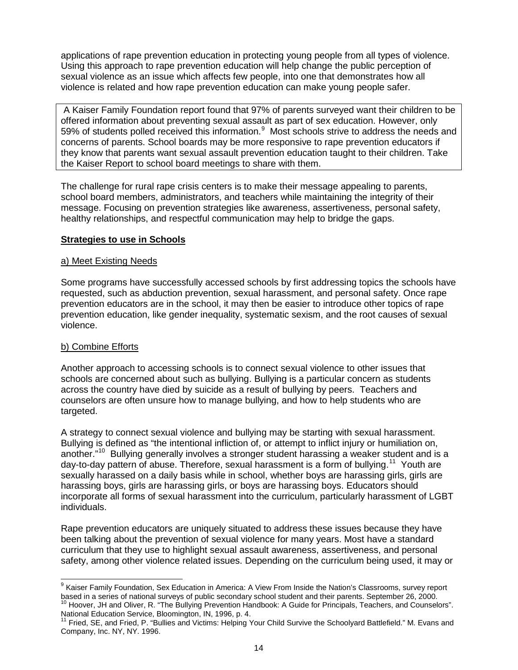applications of rape prevention education in protecting young people from all types of violence. Using this approach to rape prevention education will help change the public perception of sexual violence as an issue which affects few people, into one that demonstrates how all violence is related and how rape prevention education can make young people safer.

A Kaiser Family Foundation report found that 97% of parents surveyed want their children to be offered information about preventing sexual assault as part of sex education. However, only 5[9](#page-13-0)% of students polled received this information.<sup>9</sup> Most schools strive to address the needs and concerns of parents. School boards may be more responsive to rape prevention educators if they know that parents want sexual assault prevention education taught to their children. Take the Kaiser Report to school board meetings to share with them.

The challenge for rural rape crisis centers is to make their message appealing to parents, school board members, administrators, and teachers while maintaining the integrity of their message. Focusing on prevention strategies like awareness, assertiveness, personal safety, healthy relationships, and respectful communication may help to bridge the gaps.

#### **Strategies to use in Schools**

#### a) Meet Existing Needs

Some programs have successfully accessed schools by first addressing topics the schools have requested, such as abduction prevention, sexual harassment, and personal safety. Once rape prevention educators are in the school, it may then be easier to introduce other topics of rape prevention education, like gender inequality, systematic sexism, and the root causes of sexual violence.

#### b) Combine Efforts

Another approach to accessing schools is to connect sexual violence to other issues that schools are concerned about such as bullying. Bullying is a particular concern as students across the country have died by suicide as a result of bullying by peers. Teachers and counselors are often unsure how to manage bullying, and how to help students who are targeted.

A strategy to connect sexual violence and bullying may be starting with sexual harassment. Bullying is defined as "the intentional infliction of, or attempt to inflict injury or humiliation on, another."<sup>[10](#page-13-1)</sup> Bullying generally involves a stronger student harassing a weaker student and is a day-to-day pattern of abuse. Therefore, sexual harassment is a form of bullying.<sup>11</sup> Youth are sexually harassed on a daily basis while in school, whether boys are harassing girls, girls are harassing boys, girls are harassing girls, or boys are harassing boys. Educators should incorporate all forms of sexual harassment into the curriculum, particularly harassment of LGBT individuals.

Rape prevention educators are uniquely situated to address these issues because they have been talking about the prevention of sexual violence for many years. Most have a standard curriculum that they use to highlight sexual assault awareness, assertiveness, and personal safety, among other violence related issues. Depending on the curriculum being used, it may or

<span id="page-13-0"></span><sup>&</sup>lt;sup>9</sup> Kaiser Family Foundation, Sex Education in America: A View From Inside the Nation's Classrooms, survey report based in a series of national surveys of public secondary school student and their parents. September 26, 2000.<br><sup>10</sup> Hoover, JH and Oliver, R. "The Bullying Prevention Handbook: A Guide for Principals, Teachers, and Counse

<span id="page-13-2"></span><span id="page-13-1"></span>National Education Service, Bloomington, IN, 1996, p. 4.<br><sup>11</sup> Fried, SE, and Fried, P. "Bullies and Victims: Helping Your Child Survive the Schoolyard Battlefield." M. Evans and Company, Inc. NY, NY. 1996.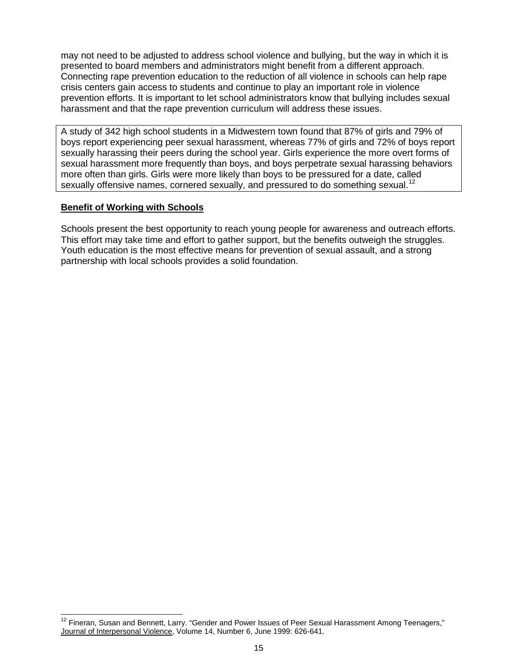may not need to be adjusted to address school violence and bullying, but the way in which it is presented to board members and administrators might benefit from a different approach. Connecting rape prevention education to the reduction of all violence in schools can help rape crisis centers gain access to students and continue to play an important role in violence prevention efforts. It is important to let school administrators know that bullying includes sexual harassment and that the rape prevention curriculum will address these issues.

A study of 342 high school students in a Midwestern town found that 87% of girls and 79% of boys report experiencing peer sexual harassment, whereas 77% of girls and 72% of boys report sexually harassing their peers during the school year. Girls experience the more overt forms of sexual harassment more frequently than boys, and boys perpetrate sexual harassing behaviors more often than girls. Girls were more likely than boys to be pressured for a date, called sexually offensive names, cornered sexually, and pressured to do something sexual.<sup>[12](#page-14-0)</sup>

#### **Benefit of Working with Schools**

Schools present the best opportunity to reach young people for awareness and outreach efforts. This effort may take time and effort to gather support, but the benefits outweigh the struggles. Youth education is the most effective means for prevention of sexual assault, and a strong partnership with local schools provides a solid foundation.

<span id="page-14-0"></span><sup>&</sup>lt;sup>12</sup> Fineran, Susan and Bennett, Larry. "Gender and Power Issues of Peer Sexual Harassment Among Teenagers," Journal of Interpersonal Violence, Volume 14, Number 6, June 1999: 626-641.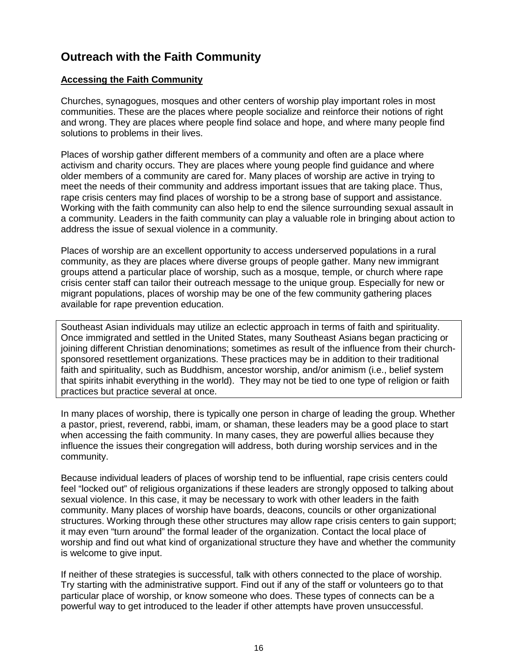## **Outreach with the Faith Community**

#### **Accessing the Faith Community**

Churches, synagogues, mosques and other centers of worship play important roles in most communities. These are the places where people socialize and reinforce their notions of right and wrong. They are places where people find solace and hope, and where many people find solutions to problems in their lives.

Places of worship gather different members of a community and often are a place where activism and charity occurs. They are places where young people find guidance and where older members of a community are cared for. Many places of worship are active in trying to meet the needs of their community and address important issues that are taking place. Thus, rape crisis centers may find places of worship to be a strong base of support and assistance. Working with the faith community can also help to end the silence surrounding sexual assault in a community. Leaders in the faith community can play a valuable role in bringing about action to address the issue of sexual violence in a community.

Places of worship are an excellent opportunity to access underserved populations in a rural community, as they are places where diverse groups of people gather. Many new immigrant groups attend a particular place of worship, such as a mosque, temple, or church where rape crisis center staff can tailor their outreach message to the unique group. Especially for new or migrant populations, places of worship may be one of the few community gathering places available for rape prevention education.

Southeast Asian individuals may utilize an eclectic approach in terms of faith and spirituality. Once immigrated and settled in the United States, many Southeast Asians began practicing or joining different Christian denominations; sometimes as result of the influence from their churchsponsored resettlement organizations. These practices may be in addition to their traditional faith and spirituality, such as Buddhism, ancestor worship, and/or animism (i.e., belief system that spirits inhabit everything in the world). They may not be tied to one type of religion or faith practices but practice several at once.

In many places of worship, there is typically one person in charge of leading the group. Whether a pastor, priest, reverend, rabbi, imam, or shaman, these leaders may be a good place to start when accessing the faith community. In many cases, they are powerful allies because they influence the issues their congregation will address, both during worship services and in the community.

Because individual leaders of places of worship tend to be influential, rape crisis centers could feel "locked out" of religious organizations if these leaders are strongly opposed to talking about sexual violence. In this case, it may be necessary to work with other leaders in the faith community. Many places of worship have boards, deacons, councils or other organizational structures. Working through these other structures may allow rape crisis centers to gain support; it may even "turn around" the formal leader of the organization. Contact the local place of worship and find out what kind of organizational structure they have and whether the community is welcome to give input.

If neither of these strategies is successful, talk with others connected to the place of worship. Try starting with the administrative support. Find out if any of the staff or volunteers go to that particular place of worship, or know someone who does. These types of connects can be a powerful way to get introduced to the leader if other attempts have proven unsuccessful.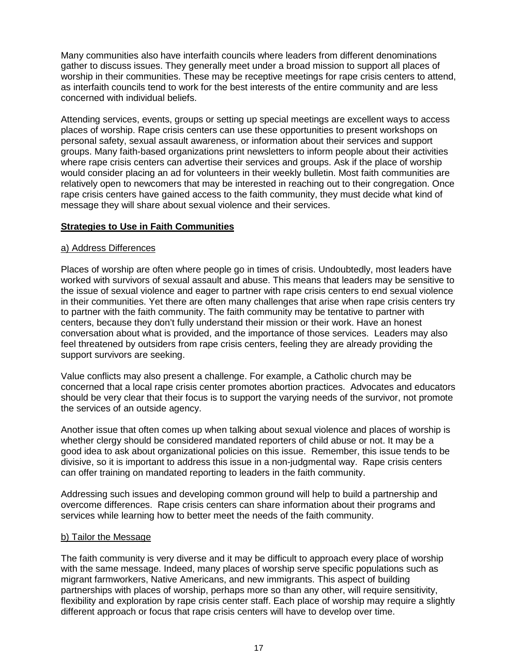Many communities also have interfaith councils where leaders from different denominations gather to discuss issues. They generally meet under a broad mission to support all places of worship in their communities. These may be receptive meetings for rape crisis centers to attend, as interfaith councils tend to work for the best interests of the entire community and are less concerned with individual beliefs.

Attending services, events, groups or setting up special meetings are excellent ways to access places of worship. Rape crisis centers can use these opportunities to present workshops on personal safety, sexual assault awareness, or information about their services and support groups. Many faith-based organizations print newsletters to inform people about their activities where rape crisis centers can advertise their services and groups. Ask if the place of worship would consider placing an ad for volunteers in their weekly bulletin. Most faith communities are relatively open to newcomers that may be interested in reaching out to their congregation. Once rape crisis centers have gained access to the faith community, they must decide what kind of message they will share about sexual violence and their services.

#### **Strategies to Use in Faith Communities**

#### a) Address Differences

Places of worship are often where people go in times of crisis. Undoubtedly, most leaders have worked with survivors of sexual assault and abuse. This means that leaders may be sensitive to the issue of sexual violence and eager to partner with rape crisis centers to end sexual violence in their communities. Yet there are often many challenges that arise when rape crisis centers try to partner with the faith community. The faith community may be tentative to partner with centers, because they don't fully understand their mission or their work. Have an honest conversation about what is provided, and the importance of those services. Leaders may also feel threatened by outsiders from rape crisis centers, feeling they are already providing the support survivors are seeking.

Value conflicts may also present a challenge. For example, a Catholic church may be concerned that a local rape crisis center promotes abortion practices. Advocates and educators should be very clear that their focus is to support the varying needs of the survivor, not promote the services of an outside agency.

Another issue that often comes up when talking about sexual violence and places of worship is whether clergy should be considered mandated reporters of child abuse or not. It may be a good idea to ask about organizational policies on this issue. Remember, this issue tends to be divisive, so it is important to address this issue in a non-judgmental way. Rape crisis centers can offer training on mandated reporting to leaders in the faith community.

Addressing such issues and developing common ground will help to build a partnership and overcome differences. Rape crisis centers can share information about their programs and services while learning how to better meet the needs of the faith community.

#### b) Tailor the Message

The faith community is very diverse and it may be difficult to approach every place of worship with the same message. Indeed, many places of worship serve specific populations such as migrant farmworkers, Native Americans, and new immigrants. This aspect of building partnerships with places of worship, perhaps more so than any other, will require sensitivity, flexibility and exploration by rape crisis center staff. Each place of worship may require a slightly different approach or focus that rape crisis centers will have to develop over time.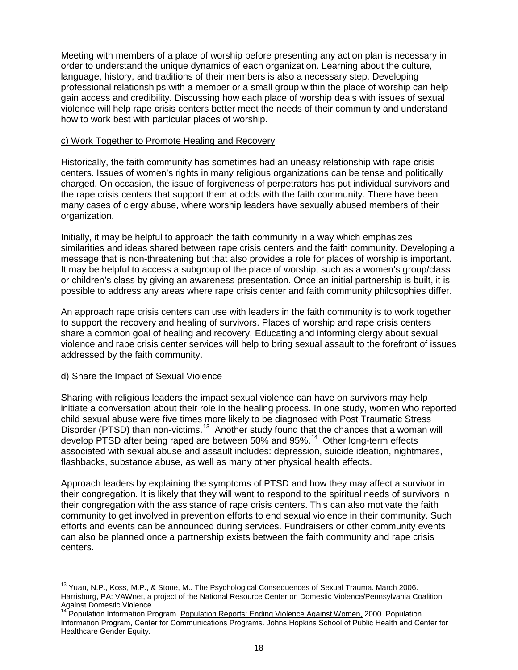Meeting with members of a place of worship before presenting any action plan is necessary in order to understand the unique dynamics of each organization. Learning about the culture, language, history, and traditions of their members is also a necessary step. Developing professional relationships with a member or a small group within the place of worship can help gain access and credibility. Discussing how each place of worship deals with issues of sexual violence will help rape crisis centers better meet the needs of their community and understand how to work best with particular places of worship.

#### c) Work Together to Promote Healing and Recovery

Historically, the faith community has sometimes had an uneasy relationship with rape crisis centers. Issues of women's rights in many religious organizations can be tense and politically charged. On occasion, the issue of forgiveness of perpetrators has put individual survivors and the rape crisis centers that support them at odds with the faith community. There have been many cases of clergy abuse, where worship leaders have sexually abused members of their organization.

Initially, it may be helpful to approach the faith community in a way which emphasizes similarities and ideas shared between rape crisis centers and the faith community. Developing a message that is non-threatening but that also provides a role for places of worship is important. It may be helpful to access a subgroup of the place of worship, such as a women's group/class or children's class by giving an awareness presentation. Once an initial partnership is built, it is possible to address any areas where rape crisis center and faith community philosophies differ.

An approach rape crisis centers can use with leaders in the faith community is to work together to support the recovery and healing of survivors. Places of worship and rape crisis centers share a common goal of healing and recovery. Educating and informing clergy about sexual violence and rape crisis center services will help to bring sexual assault to the forefront of issues addressed by the faith community.

#### d) Share the Impact of Sexual Violence

Sharing with religious leaders the impact sexual violence can have on survivors may help initiate a conversation about their role in the healing process. In one study, women who reported child sexual abuse were five times more likely to be diagnosed with Post Traumatic Stress Disorder (PTSD) than non-victims.<sup>[13](#page-17-0)</sup> Another study found that the chances that a woman will develop PTSD after being raped are between 50% and 95%.<sup>[14](#page-17-1)</sup> Other long-term effects associated with sexual abuse and assault includes: depression, suicide ideation, nightmares, flashbacks, substance abuse, as well as many other physical health effects.

Approach leaders by explaining the symptoms of PTSD and how they may affect a survivor in their congregation. It is likely that they will want to respond to the spiritual needs of survivors in their congregation with the assistance of rape crisis centers. This can also motivate the faith community to get involved in prevention efforts to end sexual violence in their community. Such efforts and events can be announced during services. Fundraisers or other community events can also be planned once a partnership exists between the faith community and rape crisis centers.

<span id="page-17-0"></span><sup>&</sup>lt;sup>13</sup> Yuan. N.P., Koss, M.P., & Stone, M.. The Psychological Consequences of Sexual Trauma. March 2006. Harrisburg, PA: VAWnet, a project of the National Resource Center on Domestic Violence/Pennsylvania Coalition Against Domestic Violence.

<span id="page-17-1"></span><sup>&</sup>lt;sup>14</sup> Population Information Program. Population Reports: Ending Violence Against Women, 2000. Population Information Program, Center for Communications Programs. Johns Hopkins School of Public Health and Center for Healthcare Gender Equity.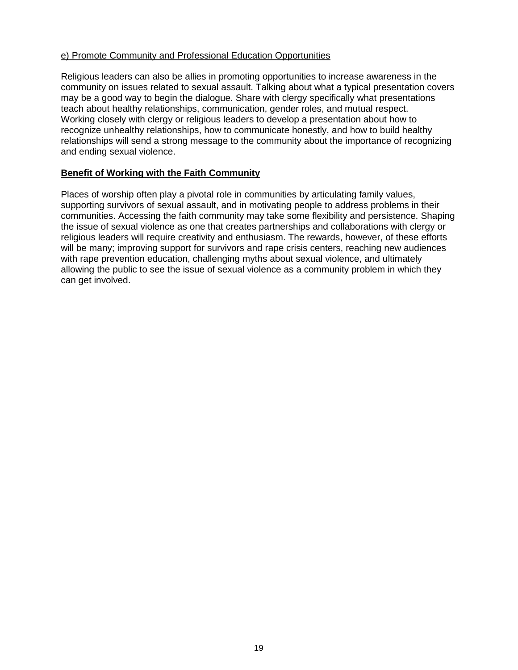#### e) Promote Community and Professional Education Opportunities

Religious leaders can also be allies in promoting opportunities to increase awareness in the community on issues related to sexual assault. Talking about what a typical presentation covers may be a good way to begin the dialogue. Share with clergy specifically what presentations teach about healthy relationships, communication, gender roles, and mutual respect. Working closely with clergy or religious leaders to develop a presentation about how to recognize unhealthy relationships, how to communicate honestly, and how to build healthy relationships will send a strong message to the community about the importance of recognizing and ending sexual violence.

#### **Benefit of Working with the Faith Community**

Places of worship often play a pivotal role in communities by articulating family values, supporting survivors of sexual assault, and in motivating people to address problems in their communities. Accessing the faith community may take some flexibility and persistence. Shaping the issue of sexual violence as one that creates partnerships and collaborations with clergy or religious leaders will require creativity and enthusiasm. The rewards, however, of these efforts will be many; improving support for survivors and rape crisis centers, reaching new audiences with rape prevention education, challenging myths about sexual violence, and ultimately allowing the public to see the issue of sexual violence as a community problem in which they can get involved.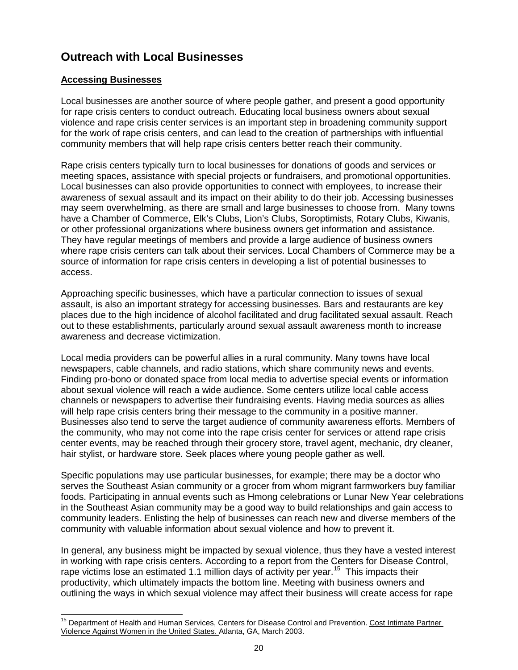## **Outreach with Local Businesses**

#### **Accessing Businesses**

Local businesses are another source of where people gather, and present a good opportunity for rape crisis centers to conduct outreach. Educating local business owners about sexual violence and rape crisis center services is an important step in broadening community support for the work of rape crisis centers, and can lead to the creation of partnerships with influential community members that will help rape crisis centers better reach their community.

Rape crisis centers typically turn to local businesses for donations of goods and services or meeting spaces, assistance with special projects or fundraisers, and promotional opportunities. Local businesses can also provide opportunities to connect with employees, to increase their awareness of sexual assault and its impact on their ability to do their job. Accessing businesses may seem overwhelming, as there are small and large businesses to choose from. Many towns have a Chamber of Commerce, Elk's Clubs, Lion's Clubs, Soroptimists, Rotary Clubs, Kiwanis, or other professional organizations where business owners get information and assistance. They have regular meetings of members and provide a large audience of business owners where rape crisis centers can talk about their services. Local Chambers of Commerce may be a source of information for rape crisis centers in developing a list of potential businesses to access.

Approaching specific businesses, which have a particular connection to issues of sexual assault, is also an important strategy for accessing businesses. Bars and restaurants are key places due to the high incidence of alcohol facilitated and drug facilitated sexual assault. Reach out to these establishments, particularly around sexual assault awareness month to increase awareness and decrease victimization.

Local media providers can be powerful allies in a rural community. Many towns have local newspapers, cable channels, and radio stations, which share community news and events. Finding pro-bono or donated space from local media to advertise special events or information about sexual violence will reach a wide audience. Some centers utilize local cable access channels or newspapers to advertise their fundraising events. Having media sources as allies will help rape crisis centers bring their message to the community in a positive manner. Businesses also tend to serve the target audience of community awareness efforts. Members of the community, who may not come into the rape crisis center for services or attend rape crisis center events, may be reached through their grocery store, travel agent, mechanic, dry cleaner, hair stylist, or hardware store. Seek places where young people gather as well.

Specific populations may use particular businesses, for example; there may be a doctor who serves the Southeast Asian community or a grocer from whom migrant farmworkers buy familiar foods. Participating in annual events such as Hmong celebrations or Lunar New Year celebrations in the Southeast Asian community may be a good way to build relationships and gain access to community leaders. Enlisting the help of businesses can reach new and diverse members of the community with valuable information about sexual violence and how to prevent it.

In general, any business might be impacted by sexual violence, thus they have a vested interest in working with rape crisis centers. According to a report from the Centers for Disease Control, rape victims lose an estimated 1.1 million days of activity per year.<sup>[15](#page-19-0)</sup> This impacts their productivity, which ultimately impacts the bottom line. Meeting with business owners and outlining the ways in which sexual violence may affect their business will create access for rape

<span id="page-19-0"></span><sup>&</sup>lt;sup>15</sup> Department of Health and Human Services, Centers for Disease Control and Prevention. Cost Intimate Partner Violence Against Women in the United States. Atlanta, GA, March 2003.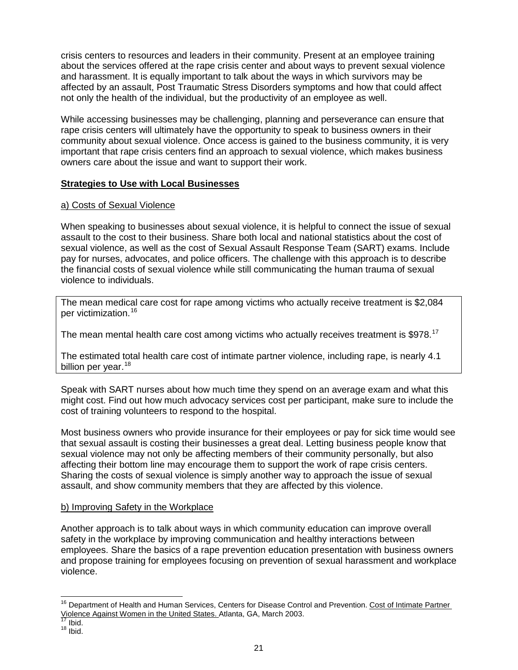crisis centers to resources and leaders in their community. Present at an employee training about the services offered at the rape crisis center and about ways to prevent sexual violence and harassment. It is equally important to talk about the ways in which survivors may be affected by an assault, Post Traumatic Stress Disorders symptoms and how that could affect not only the health of the individual, but the productivity of an employee as well.

While accessing businesses may be challenging, planning and perseverance can ensure that rape crisis centers will ultimately have the opportunity to speak to business owners in their community about sexual violence. Once access is gained to the business community, it is very important that rape crisis centers find an approach to sexual violence, which makes business owners care about the issue and want to support their work.

#### **Strategies to Use with Local Businesses**

#### a) Costs of Sexual Violence

When speaking to businesses about sexual violence, it is helpful to connect the issue of sexual assault to the cost to their business. Share both local and national statistics about the cost of sexual violence, as well as the cost of Sexual Assault Response Team (SART) exams. Include pay for nurses, advocates, and police officers. The challenge with this approach is to describe the financial costs of sexual violence while still communicating the human trauma of sexual violence to individuals.

The mean medical care cost for rape among victims who actually receive treatment is \$2,084 per victimization. [16](#page-20-0)

The mean mental health care cost among victims who actually receives treatment is  $$978.^{17}$  $$978.^{17}$  $$978.^{17}$ 

The estimated total health care cost of intimate partner violence, including rape, is nearly 4.1 billion per year.<sup>[18](#page-20-2)</sup>

Speak with SART nurses about how much time they spend on an average exam and what this might cost. Find out how much advocacy services cost per participant, make sure to include the cost of training volunteers to respond to the hospital.

Most business owners who provide insurance for their employees or pay for sick time would see that sexual assault is costing their businesses a great deal. Letting business people know that sexual violence may not only be affecting members of their community personally, but also affecting their bottom line may encourage them to support the work of rape crisis centers. Sharing the costs of sexual violence is simply another way to approach the issue of sexual assault, and show community members that they are affected by this violence.

#### b) Improving Safety in the Workplace

Another approach is to talk about ways in which community education can improve overall safety in the workplace by improving communication and healthy interactions between employees. Share the basics of a rape prevention education presentation with business owners and propose training for employees focusing on prevention of sexual harassment and workplace violence.

<span id="page-20-0"></span><sup>&</sup>lt;sup>16</sup> Department of Health and Human Services, Centers for Disease Control and Prevention. Cost of Intimate Partner Violence Against Women in the United States. Atlanta, GA, March 2003.<br><sup>17</sup> Ibid.<br><sup>18</sup> Ibid.

<span id="page-20-2"></span><span id="page-20-1"></span>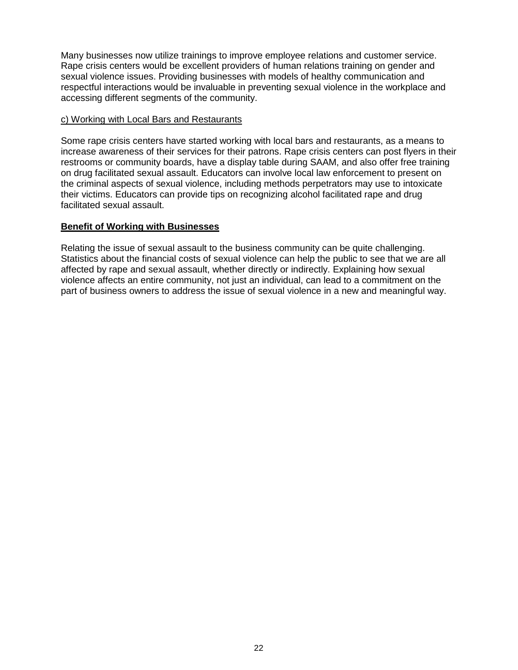Many businesses now utilize trainings to improve employee relations and customer service. Rape crisis centers would be excellent providers of human relations training on gender and sexual violence issues. Providing businesses with models of healthy communication and respectful interactions would be invaluable in preventing sexual violence in the workplace and accessing different segments of the community.

#### c) Working with Local Bars and Restaurants

Some rape crisis centers have started working with local bars and restaurants, as a means to increase awareness of their services for their patrons. Rape crisis centers can post flyers in their restrooms or community boards, have a display table during SAAM, and also offer free training on drug facilitated sexual assault. Educators can involve local law enforcement to present on the criminal aspects of sexual violence, including methods perpetrators may use to intoxicate their victims. Educators can provide tips on recognizing alcohol facilitated rape and drug facilitated sexual assault.

#### **Benefit of Working with Businesses**

Relating the issue of sexual assault to the business community can be quite challenging. Statistics about the financial costs of sexual violence can help the public to see that we are all affected by rape and sexual assault, whether directly or indirectly. Explaining how sexual violence affects an entire community, not just an individual, can lead to a commitment on the part of business owners to address the issue of sexual violence in a new and meaningful way.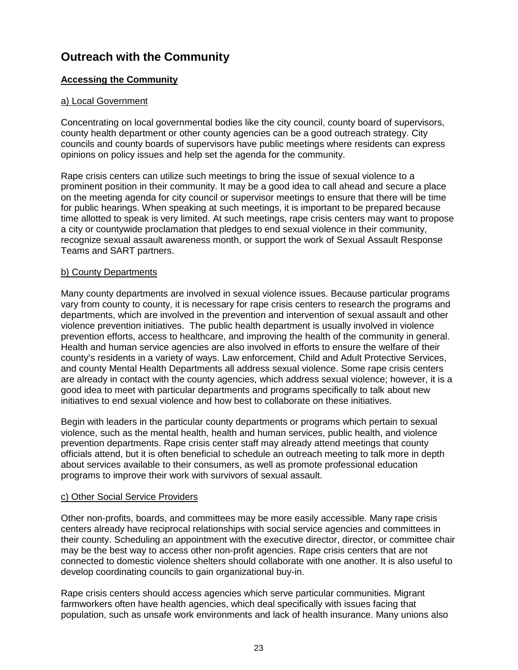## **Outreach with the Community**

#### **Accessing the Community**

#### a) Local Government

Concentrating on local governmental bodies like the city council, county board of supervisors, county health department or other county agencies can be a good outreach strategy. City councils and county boards of supervisors have public meetings where residents can express opinions on policy issues and help set the agenda for the community.

Rape crisis centers can utilize such meetings to bring the issue of sexual violence to a prominent position in their community. It may be a good idea to call ahead and secure a place on the meeting agenda for city council or supervisor meetings to ensure that there will be time for public hearings. When speaking at such meetings, it is important to be prepared because time allotted to speak is very limited. At such meetings, rape crisis centers may want to propose a city or countywide proclamation that pledges to end sexual violence in their community, recognize sexual assault awareness month, or support the work of Sexual Assault Response Teams and SART partners.

#### b) County Departments

Many county departments are involved in sexual violence issues. Because particular programs vary from county to county, it is necessary for rape crisis centers to research the programs and departments, which are involved in the prevention and intervention of sexual assault and other violence prevention initiatives. The public health department is usually involved in violence prevention efforts, access to healthcare, and improving the health of the community in general. Health and human service agencies are also involved in efforts to ensure the welfare of their county's residents in a variety of ways. Law enforcement, Child and Adult Protective Services, and county Mental Health Departments all address sexual violence. Some rape crisis centers are already in contact with the county agencies, which address sexual violence; however, it is a good idea to meet with particular departments and programs specifically to talk about new initiatives to end sexual violence and how best to collaborate on these initiatives.

Begin with leaders in the particular county departments or programs which pertain to sexual violence, such as the mental health, health and human services, public health, and violence prevention departments. Rape crisis center staff may already attend meetings that county officials attend, but it is often beneficial to schedule an outreach meeting to talk more in depth about services available to their consumers, as well as promote professional education programs to improve their work with survivors of sexual assault.

#### c) Other Social Service Providers

Other non-profits, boards, and committees may be more easily accessible. Many rape crisis centers already have reciprocal relationships with social service agencies and committees in their county. Scheduling an appointment with the executive director, director, or committee chair may be the best way to access other non-profit agencies. Rape crisis centers that are not connected to domestic violence shelters should collaborate with one another. It is also useful to develop coordinating councils to gain organizational buy-in.

Rape crisis centers should access agencies which serve particular communities. Migrant farmworkers often have health agencies, which deal specifically with issues facing that population, such as unsafe work environments and lack of health insurance. Many unions also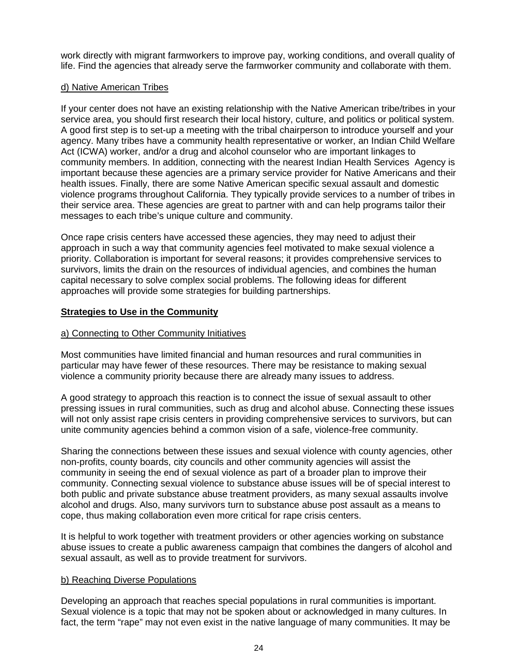work directly with migrant farmworkers to improve pay, working conditions, and overall quality of life. Find the agencies that already serve the farmworker community and collaborate with them.

#### d) Native American Tribes

If your center does not have an existing relationship with the Native American tribe/tribes in your service area, you should first research their local history, culture, and politics or political system. A good first step is to set-up a meeting with the tribal chairperson to introduce yourself and your agency. Many tribes have a community health representative or worker, an Indian Child Welfare Act (ICWA) worker, and/or a drug and alcohol counselor who are important linkages to community members. In addition, connecting with the nearest Indian Health Services Agency is important because these agencies are a primary service provider for Native Americans and their health issues. Finally, there are some Native American specific sexual assault and domestic violence programs throughout California. They typically provide services to a number of tribes in their service area. These agencies are great to partner with and can help programs tailor their messages to each tribe's unique culture and community.

Once rape crisis centers have accessed these agencies, they may need to adjust their approach in such a way that community agencies feel motivated to make sexual violence a priority. Collaboration is important for several reasons; it provides comprehensive services to survivors, limits the drain on the resources of individual agencies, and combines the human capital necessary to solve complex social problems. The following ideas for different approaches will provide some strategies for building partnerships.

#### **Strategies to Use in the Community**

#### a) Connecting to Other Community Initiatives

Most communities have limited financial and human resources and rural communities in particular may have fewer of these resources. There may be resistance to making sexual violence a community priority because there are already many issues to address.

A good strategy to approach this reaction is to connect the issue of sexual assault to other pressing issues in rural communities, such as drug and alcohol abuse. Connecting these issues will not only assist rape crisis centers in providing comprehensive services to survivors, but can unite community agencies behind a common vision of a safe, violence-free community.

Sharing the connections between these issues and sexual violence with county agencies, other non-profits, county boards, city councils and other community agencies will assist the community in seeing the end of sexual violence as part of a broader plan to improve their community. Connecting sexual violence to substance abuse issues will be of special interest to both public and private substance abuse treatment providers, as many sexual assaults involve alcohol and drugs. Also, many survivors turn to substance abuse post assault as a means to cope, thus making collaboration even more critical for rape crisis centers.

It is helpful to work together with treatment providers or other agencies working on substance abuse issues to create a public awareness campaign that combines the dangers of alcohol and sexual assault, as well as to provide treatment for survivors.

#### b) Reaching Diverse Populations

Developing an approach that reaches special populations in rural communities is important. Sexual violence is a topic that may not be spoken about or acknowledged in many cultures. In fact, the term "rape" may not even exist in the native language of many communities. It may be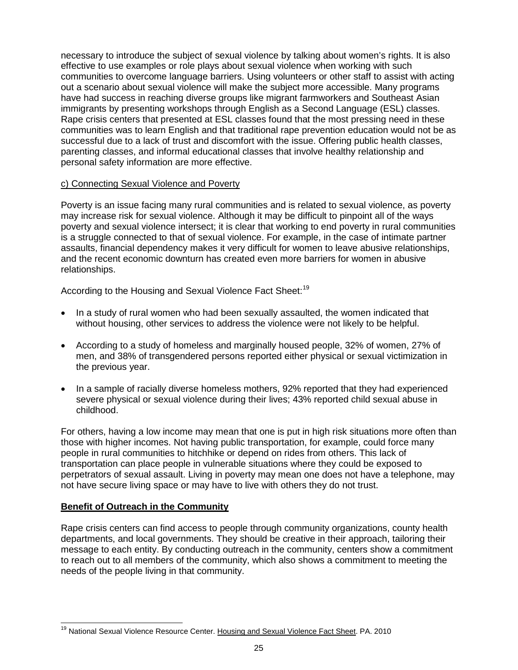necessary to introduce the subject of sexual violence by talking about women's rights. It is also effective to use examples or role plays about sexual violence when working with such communities to overcome language barriers. Using volunteers or other staff to assist with acting out a scenario about sexual violence will make the subject more accessible. Many programs have had success in reaching diverse groups like migrant farmworkers and Southeast Asian immigrants by presenting workshops through English as a Second Language (ESL) classes. Rape crisis centers that presented at ESL classes found that the most pressing need in these communities was to learn English and that traditional rape prevention education would not be as successful due to a lack of trust and discomfort with the issue. Offering public health classes, parenting classes, and informal educational classes that involve healthy relationship and personal safety information are more effective.

#### c) Connecting Sexual Violence and Poverty

Poverty is an issue facing many rural communities and is related to sexual violence, as poverty may increase risk for sexual violence. Although it may be difficult to pinpoint all of the ways poverty and sexual violence intersect; it is clear that working to end poverty in rural communities is a struggle connected to that of sexual violence. For example, in the case of intimate partner assaults, financial dependency makes it very difficult for women to leave abusive relationships, and the recent economic downturn has created even more barriers for women in abusive relationships.

According to the Housing and Sexual Violence Fact Sheet:<sup>[19](#page-24-0)</sup>

- In a study of rural women who had been sexually assaulted, the women indicated that without housing, other services to address the violence were not likely to be helpful.
- According to a study of homeless and marginally housed people, 32% of women, 27% of men, and 38% of transgendered persons reported either physical or sexual victimization in the previous year.
- In a sample of racially diverse homeless mothers, 92% reported that they had experienced severe physical or sexual violence during their lives; 43% reported child sexual abuse in childhood.

For others, having a low income may mean that one is put in high risk situations more often than those with higher incomes. Not having public transportation, for example, could force many people in rural communities to hitchhike or depend on rides from others. This lack of transportation can place people in vulnerable situations where they could be exposed to perpetrators of sexual assault. Living in poverty may mean one does not have a telephone, may not have secure living space or may have to live with others they do not trust.

#### **Benefit of Outreach in the Community**

Rape crisis centers can find access to people through community organizations, county health departments, and local governments. They should be creative in their approach, tailoring their message to each entity. By conducting outreach in the community, centers show a commitment to reach out to all members of the community, which also shows a commitment to meeting the needs of the people living in that community.

<span id="page-24-0"></span><sup>&</sup>lt;sup>19</sup> National Sexual Violence Resource Center. Housing and Sexual Violence Fact Sheet. PA. 2010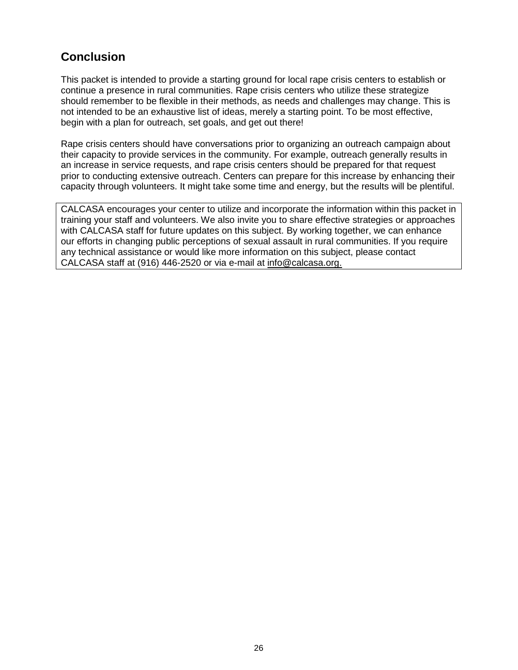## **Conclusion**

This packet is intended to provide a starting ground for local rape crisis centers to establish or continue a presence in rural communities. Rape crisis centers who utilize these strategize should remember to be flexible in their methods, as needs and challenges may change. This is not intended to be an exhaustive list of ideas, merely a starting point. To be most effective, begin with a plan for outreach, set goals, and get out there!

Rape crisis centers should have conversations prior to organizing an outreach campaign about their capacity to provide services in the community. For example, outreach generally results in an increase in service requests, and rape crisis centers should be prepared for that request prior to conducting extensive outreach. Centers can prepare for this increase by enhancing their capacity through volunteers. It might take some time and energy, but the results will be plentiful.

CALCASA encourages your center to utilize and incorporate the information within this packet in training your staff and volunteers. We also invite you to share effective strategies or approaches with CALCASA staff for future updates on this subject. By working together, we can enhance our efforts in changing public perceptions of sexual assault in rural communities. If you require any technical assistance or would like more information on this subject, please contact CALCASA staff at (916) 446-2520 or via e-mail at info@calcasa.org.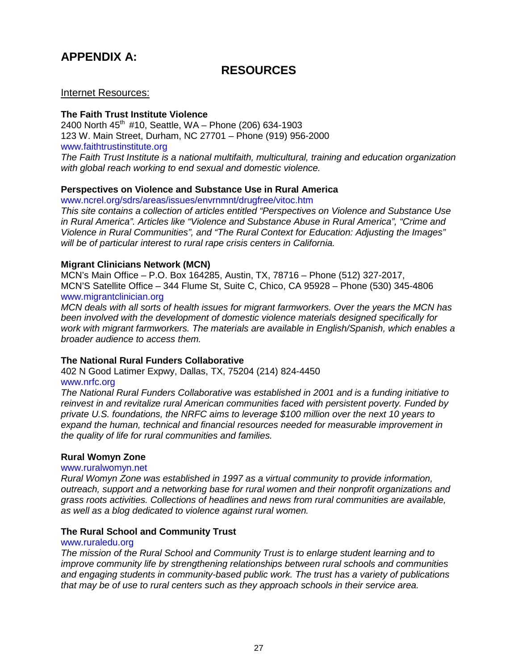## **APPENDIX A:**

### **RESOURCES**

#### Internet Resources:

#### **The Faith Trust Institute Violence**

2400 North  $45^{th}$  #10, Seattle, WA – Phone (206) 634-1903 123 W. Main Street, Durham, NC 27701 – Phone (919) 956-2000 [www.faithtrustinstitute.org](http://www.faithtrustinstitute.org/) *The Faith Trust Institute is a national multifaith, multicultural, training and education organization with global reach working to end sexual and domestic violence.*

#### **Perspectives on Violence and Substance Use in Rural America**

[www.ncrel.org/sdrs/areas/issues/envrnmnt/drugfree/vitoc.htm](http://www.ncrel.org/sdrs/areas/issues/envrnmnt/drugfree/vitoc.htm)

*This site contains a collection of articles entitled "Perspectives on Violence and Substance Use in Rural America". Articles like "Violence and Substance Abuse in Rural America", "Crime and Violence in Rural Communities", and "The Rural Context for Education: Adjusting the Images" will be of particular interest to rural rape crisis centers in California.*

#### **Migrant Clinicians Network (MCN)**

MCN's Main Office – P.O. Box 164285, Austin, TX, 78716 – Phone (512) 327-2017, MCN'S Satellite Office – 344 Flume St, Suite C, Chico, CA 95928 – Phone (530) 345-4806 [www.migrantclinician.org](http://www.migrantclinician.org/)

*MCN deals with all sorts of health issues for migrant farmworkers. Over the years the MCN has been involved with the development of domestic violence materials designed specifically for work with migrant farmworkers. The materials are available in English/Spanish, which enables a broader audience to access them.* 

#### **The National Rural Funders Collaborative**

402 N Good Latimer Expwy, Dallas, TX, 75204 (214) 824-4450

#### [www.nrfc.org](http://www.nrfc.org/)

*The National Rural Funders Collaborative was established in 2001 and is a funding initiative to reinvest in and revitalize rural American communities faced with persistent poverty. Funded by private U.S. foundations, the NRFC aims to leverage \$100 million over the next 10 years to expand the human, technical and financial resources needed for measurable improvement in the quality of life for rural communities and families.*

#### **Rural Womyn Zone**

#### [www.ruralwomyn.net](http://www.ruralwomyn.net/)

*Rural Womyn Zone was established in 1997 as a virtual community to provide information, outreach, support and a networking base for rural women and their nonprofit organizations and grass roots activities. Collections of headlines and news from rural communities are available, as well as a blog dedicated to violence against rural women.*

#### **The Rural School and Community Trust**

#### [www.ruraledu.org](http://www.ruraledu.org/)

*The mission of the Rural School and Community Trust is to enlarge student learning and to improve community life by strengthening relationships between rural schools and communities and engaging students in community-based public work. The trust has a variety of publications that may be of use to rural centers such as they approach schools in their service area.*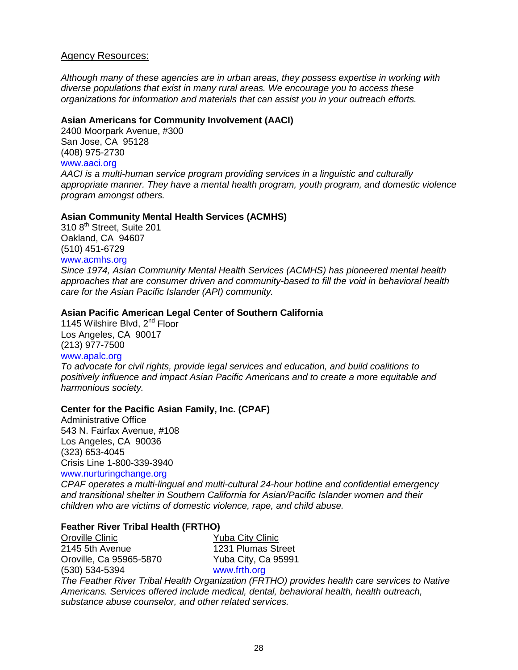#### Agency Resources:

*Although many of these agencies are in urban areas, they possess expertise in working with diverse populations that exist in many rural areas. We encourage you to access these organizations for information and materials that can assist you in your outreach efforts.*

#### **Asian Americans for Community Involvement (AACI)**

2400 Moorpark Avenue, #300 San Jose, CA 95128 (408) 975-2730 [www.aaci.org](http://www.aaci.org/) *AACI is a multi-human service program providing services in a linguistic and culturally appropriate manner. They have a mental health program, youth program, and domestic violence program amongst others.*

#### **Asian Community Mental Health Services (ACMHS)**

310 8<sup>th</sup> Street, Suite 201 Oakland, CA 94607 (510) 451-6729 [www.acmhs.org](http://www.acmhs.org/)

*Since 1974, Asian Community Mental Health Services (ACMHS) has pioneered mental health approaches that are consumer driven and community-based to fill the void in behavioral health care for the Asian Pacific Islander (API) community.*

#### **Asian Pacific American Legal Center of Southern California**

1145 Wilshire Blvd, 2<sup>nd</sup> Floor Los Angeles, CA 90017 (213) 977-7500 [www.apalc.org](http://www.apalc.org/)

*To advocate for civil rights, provide legal services and education, and build coalitions to positively influence and impact Asian Pacific Americans and to create a more equitable and harmonious society.*

#### **Center for the Pacific Asian Family, Inc. (CPAF)**

Administrative Office 543 N. Fairfax Avenue, #108 Los Angeles, CA 90036 (323) 653-4045 Crisis Line 1-800-339-3940 [www.nurturingchange.org](http://www.nurturingchange.org/)

*CPAF operates a multi-lingual and multi-cultural 24-hour hotline and confidential emergency and transitional shelter in Southern California for Asian/Pacific Islander women and their children who are victims of domestic violence, rape, and child abuse.*

#### **Feather River Tribal Health (FRTHO)**

Oroville Clinic **No. 2018** Yuba City Clinic 2145 5th Avenue<br>
Oroville, Ca 95965-5870<br>
Yuba City, Ca 95991 Oroville, Ca 95965-5870 (530) 534-5394 [www.frth.org](http://www.frth.org/) *The Feather River Tribal Health Organization (FRTHO) provides health care services to Native Americans. Services offered include medical, dental, behavioral health, health outreach, substance abuse counselor, and other related services.*